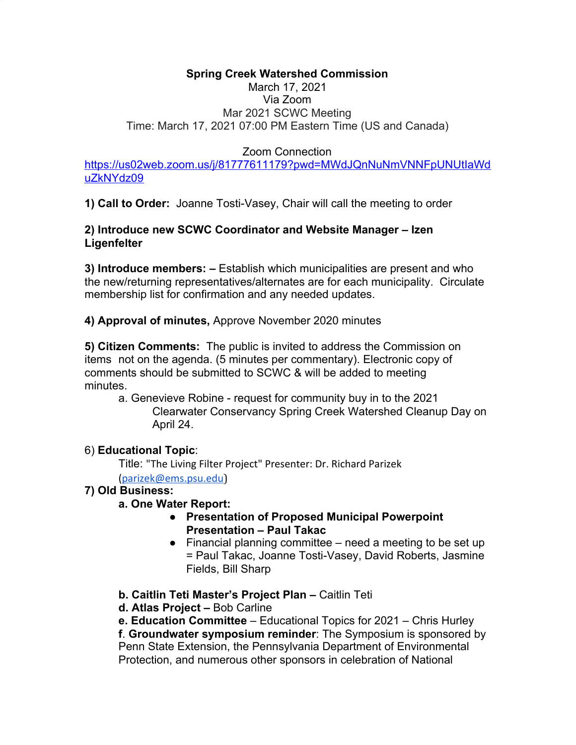# **Spring Creek Watershed Commission**

## March 17, 2021 Via Zoom Mar 2021 SCWC Meeting Time: March 17, 2021 07:00 PM Eastern Time (US and Canada)

## Zoom Connection

[https://us02web.zoom.us/j/81777611179?pwd=MWdJQnNuNmVNNFpUNUtIaWd](https://us02web.zoom.us/j/81777611179?pwd=MWdJQnNuNmVNNFpUNUtIaWduZkNYdz09) [uZkNYdz09](https://us02web.zoom.us/j/81777611179?pwd=MWdJQnNuNmVNNFpUNUtIaWduZkNYdz09)

**1) Call to Order:** Joanne Tosti-Vasey, Chair will call the meeting to order

### **2) Introduce new SCWC Coordinator and Website Manager – Izen Ligenfelter**

**3) Introduce members: –** Establish which municipalities are present and who the new/returning representatives/alternates are for each municipality. Circulate membership list for confirmation and any needed updates.

**4) Approval of minutes,** Approve November 2020 minutes

**5) Citizen Comments:** The public is invited to address the Commission on items not on the agenda. (5 minutes per commentary). Electronic copy of comments should be submitted to SCWC & will be added to meeting minutes.

a. Genevieve Robine - request for community buy in to the 2021 Clearwater Conservancy Spring Creek Watershed Cleanup Day on April 24.

### 6) **Educational Topic**:

Title: "The Living Filter Project" Presenter: Dr. Richard Parizek ([parizek@ems.psu.edu](mailto:parizek@ems.psu.edu))

### **7) Old Business:**

### **a. One Water Report:**

- **● Presentation of Proposed Municipal Powerpoint Presentation – Paul Takac**
- **●** Financial planning committee need a meeting to be set up = Paul Takac, Joanne Tosti-Vasey, David Roberts, Jasmine Fields, Bill Sharp
- **b. Caitlin Teti Master's Project Plan** Caitlin Teti
- **d. Atlas Project –** Bob Carline

**e. Education Committee** – Educational Topics for 2021 – Chris Hurley

**f**. **Groundwater symposium reminder**: The Symposium is sponsored by Penn State Extension, the Pennsylvania Department of Environmental Protection, and numerous other sponsors in celebration of National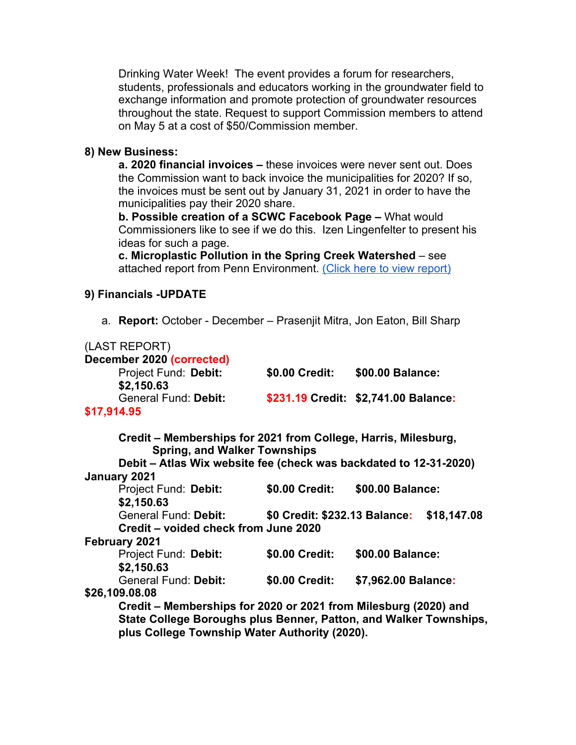Drinking Water Week! The event provides a forum for researchers, students, professionals and educators working in the groundwater field to exchange information and promote protection of groundwater resources throughout the state. Request to support Commission members to attend on May 5 at a cost of \$50/Commission member.

#### **8) New Business:**

**a. 2020 financial invoices –** these invoices were never sent out. Does the Commission want to back invoice the municipalities for 2020? If so, the invoices must be sent out by January 31, 2021 in order to have the municipalities pay their 2020 share.

**b. Possible creation of a SCWC Facebook Page –** What would Commissioners like to see if we do this. Izen Lingenfelter to present his ideas for such a page.

**c. Microplastic Pollution in the Spring Creek Watershed** – see attached report from Penn Environment. [\(Click here to view report\)](https://drive.google.com/file/d/1x5w4oYSnyE_4FR3SmPcqiPXGsGs7_fLZ/view?usp=sharing)

#### **9) Financials -UPDATE**

a. **Report:** October - December – Prasenjit Mitra, Jon Eaton, Bill Sharp

| (LAST REPORT)                                                     |                |                                      |
|-------------------------------------------------------------------|----------------|--------------------------------------|
| December 2020 (corrected)                                         |                |                                      |
| Project Fund: Debit:                                              | \$0.00 Credit: | \$00.00 Balance:                     |
| \$2,150.63                                                        |                |                                      |
| <b>General Fund: Debit:</b>                                       |                | \$231.19 Credit: \$2,741.00 Balance: |
| \$17,914.95                                                       |                |                                      |
| Credit – Memberships for 2021 from College, Harris, Milesburg,    |                |                                      |
| <b>Spring, and Walker Townships</b>                               |                |                                      |
| Debit – Atlas Wix website fee (check was backdated to 12-31-2020) |                |                                      |
| January 2021                                                      |                |                                      |
| Project Fund: Debit:                                              | \$0.00 Credit: | \$00.00 Balance:                     |
| \$2,150.63                                                        |                |                                      |
| General Fund: Debit: \$0 Credit: \$232.13 Balance: \$18,147.08    |                |                                      |
| Credit – voided check from June 2020                              |                |                                      |
| <b>February 2021</b>                                              |                |                                      |
| Project Fund: Debit:                                              | \$0.00 Credit: | \$00.00 Balance:                     |
| \$2,150.63                                                        |                |                                      |
| General Fund: Debit:                                              | \$0.00 Credit: | \$7,962.00 Balance:                  |
| \$26,109.08.08                                                    |                |                                      |
| Credit – Memberships for 2020 or 2021 from Milesburg (2020) and   |                |                                      |
| State College Boroughs plus Benner, Patton, and Walker Townships, |                |                                      |
| plus College Township Water Authority (2020).                     |                |                                      |
|                                                                   |                |                                      |